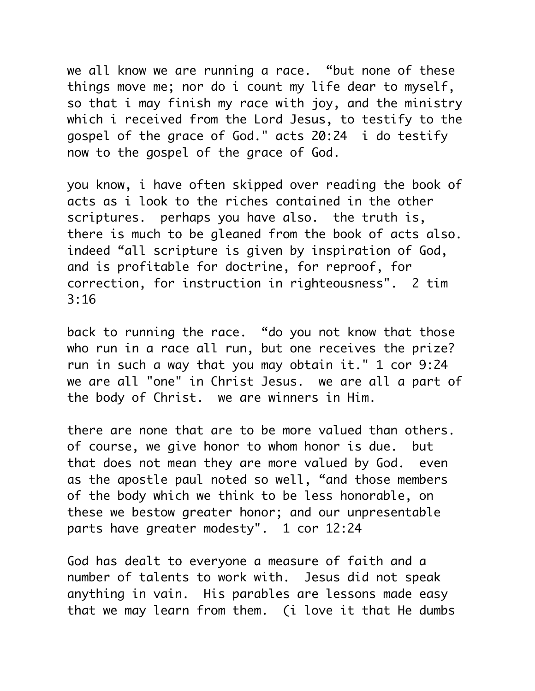we all know we are running a race. "but none of these things move me; nor do i count my life dear to myself, so that i may finish my race with joy, and the ministry which i received from the Lord Jesus, to testify to the gospel of the grace of God." acts 20:24 i do testify now to the gospel of the grace of God.

you know, i have often skipped over reading the book of acts as i look to the riches contained in the other scriptures. perhaps you have also. the truth is, there is much to be gleaned from the book of acts also. indeed "all scripture is given by inspiration of God, and is profitable for doctrine, for reproof, for correction, for instruction in righteousness". 2 tim 3:16

back to running the race. "do you not know that those who run in a race all run, but one receives the prize? run in such a way that you may obtain it." 1 cor 9:24 we are all "one" in Christ Jesus. we are all a part of the body of Christ. we are winners in Him.

there are none that are to be more valued than others. of course, we give honor to whom honor is due. but that does not mean they are more valued by God. even as the apostle paul noted so well, "and those members of the body which we think to be less honorable, on these we bestow greater honor; and our unpresentable parts have areater modesty". 1 cor 12:24

God has dealt to everyone a measure of faith and a number of talents to work with. Jesus did not speak anything in vain. His parables are lessons made easy that we may learn from them. (i love it that He dumbs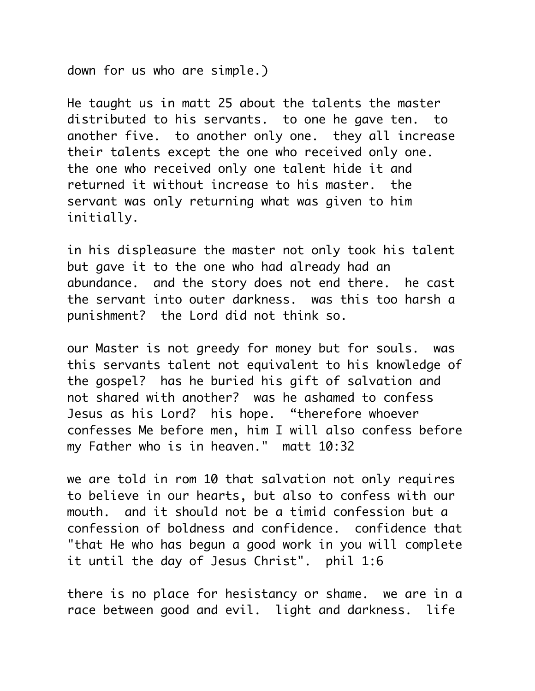down for us who are simple.)

He taught us in matt 25 about the talents the master distributed to his servants. to one he gave ten. to another five. to another only one. they all increase their talents except the one who received only one. the one who received only one talent hide it and returned it without increase to his master. the servant was only returning what was given to him initially.

in his displeasure the master not only took his talent but gave it to the one who had already had an abundance. and the story does not end there. he cast the servant into outer darkness. was this too harsh a punishment? the Lord did not think so.

our Master is not greedy for money but for souls. was this servants talent not equivalent to his knowledge of the gospel? has he buried his gift of salvation and not shared with another? was he ashamed to confess Jesus as his Lord? his hope. "therefore whoever confesses Me before men, him I will also confess before my Father who is in heaven." matt 10:32

we are told in rom 10 that salvation not only requires to believe in our hearts, but also to confess with our mouth. and it should not be a timid confession but a confession of boldness and confidence. confidence that "that He who has begun a good work in you will complete it until the day of Jesus Christ". phil 1:6

there is no place for hesistancy or shame. we are in a race between good and evil. light and darkness. life